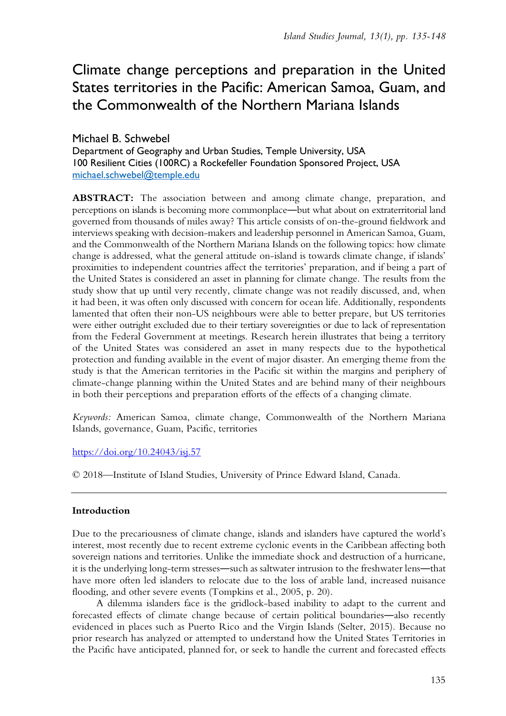# Climate change perceptions and preparation in the United States territories in the Pacific: American Samoa, Guam, and the Commonwealth of the Northern Mariana Islands

# Michael B. Schwebel

Department of Geography and Urban Studies, Temple University, USA 100 Resilient Cities (100RC) a Rockefeller Foundation Sponsored Project, USA [michael.schwebel@temple.edu](mailto:michael.schwebel@temple.edu)

**ABSTRACT:** The association between and among climate change, preparation, and perceptions on islands is becoming more commonplace―but what about on extraterritorial land governed from thousands of miles away? This article consists of on-the-ground fieldwork and interviews speaking with decision-makers and leadership personnel in American Samoa, Guam, and the Commonwealth of the Northern Mariana Islands on the following topics: how climate change is addressed, what the general attitude on-island is towards climate change, if islands' proximities to independent countries affect the territories' preparation, and if being a part of the United States is considered an asset in planning for climate change. The results from the study show that up until very recently, climate change was not readily discussed, and, when it had been, it was often only discussed with concern for ocean life. Additionally, respondents lamented that often their non-US neighbours were able to better prepare, but US territories were either outright excluded due to their tertiary sovereignties or due to lack of representation from the Federal Government at meetings. Research herein illustrates that being a territory of the United States was considered an asset in many respects due to the hypothetical protection and funding available in the event of major disaster. An emerging theme from the study is that the American territories in the Pacific sit within the margins and periphery of climate-change planning within the United States and are behind many of their neighbours in both their perceptions and preparation efforts of the effects of a changing climate.

*Keywords:* American Samoa, climate change, Commonwealth of the Northern Mariana Islands, governance, Guam, Pacific, territories

<https://doi.org/10.24043/isj.57>

© 2018—Institute of Island Studies, University of Prince Edward Island, Canada.

# **Introduction**

Due to the precariousness of climate change, islands and islanders have captured the world's interest, most recently due to recent extreme cyclonic events in the Caribbean affecting both sovereign nations and territories. Unlike the immediate shock and destruction of a hurricane, it is the underlying long-term stresses―such as saltwater intrusion to the freshwater lens―that have more often led islanders to relocate due to the loss of arable land, increased nuisance flooding, and other severe events (Tompkins et al., 2005, p. 20).

A dilemma islanders face is the gridlock-based inability to adapt to the current and forecasted effects of climate change because of certain political boundaries―also recently evidenced in places such as Puerto Rico and the Virgin Islands (Selter, 2015). Because no prior research has analyzed or attempted to understand how the United States Territories in the Pacific have anticipated, planned for, or seek to handle the current and forecasted effects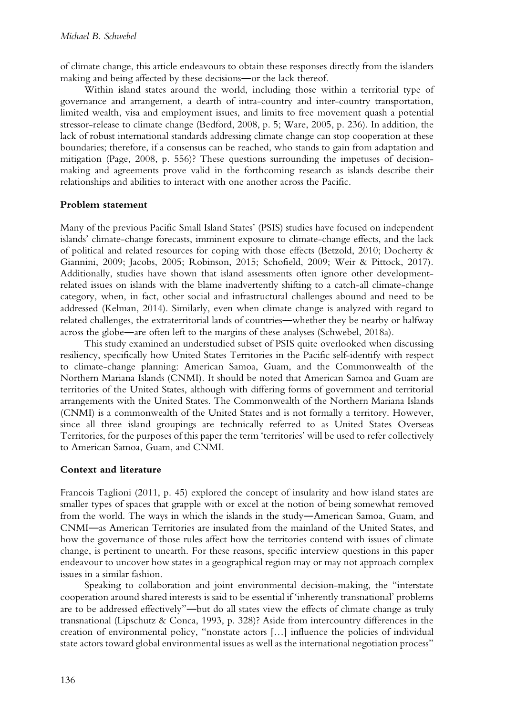of climate change, this article endeavours to obtain these responses directly from the islanders making and being affected by these decisions―or the lack thereof.

Within island states around the world, including those within a territorial type of governance and arrangement, a dearth of intra-country and inter-country transportation, limited wealth, visa and employment issues, and limits to free movement quash a potential stressor-release to climate change (Bedford, 2008, p. 5; Ware, 2005, p. 236). In addition, the lack of robust international standards addressing climate change can stop cooperation at these boundaries; therefore, if a consensus can be reached, who stands to gain from adaptation and mitigation (Page, 2008, p. 556)? These questions surrounding the impetuses of decisionmaking and agreements prove valid in the forthcoming research as islands describe their relationships and abilities to interact with one another across the Pacific.

## **Problem statement**

Many of the previous Pacific Small Island States' (PSIS) studies have focused on independent islands' climate-change forecasts, imminent exposure to climate-change effects, and the lack of political and related resources for coping with those effects (Betzold, 2010; Docherty & Giannini, 2009; Jacobs, 2005; Robinson, 2015; Schofield, 2009; Weir & Pittock, 2017). Additionally, studies have shown that island assessments often ignore other developmentrelated issues on islands with the blame inadvertently shifting to a catch-all climate-change category, when, in fact, other social and infrastructural challenges abound and need to be addressed (Kelman, 2014). Similarly, even when climate change is analyzed with regard to related challenges, the extraterritorial lands of countries―whether they be nearby or halfway across the globe―are often left to the margins of these analyses (Schwebel, 2018a).

This study examined an understudied subset of PSIS quite overlooked when discussing resiliency, specifically how United States Territories in the Pacific self-identify with respect to climate-change planning: American Samoa, Guam, and the Commonwealth of the Northern Mariana Islands (CNMI). It should be noted that American Samoa and Guam are territories of the United States, although with differing forms of government and territorial arrangements with the United States. The Commonwealth of the Northern Mariana Islands (CNMI) is a commonwealth of the United States and is not formally a territory. However, since all three island groupings are technically referred to as United States Overseas Territories, for the purposes of this paper the term 'territories' will be used to refer collectively to American Samoa, Guam, and CNMI.

## **Context and literature**

Francois Taglioni (2011, p. 45) explored the concept of insularity and how island states are smaller types of spaces that grapple with or excel at the notion of being somewhat removed from the world. The ways in which the islands in the study―American Samoa, Guam, and CNMI―as American Territories are insulated from the mainland of the United States, and how the governance of those rules affect how the territories contend with issues of climate change, is pertinent to unearth. For these reasons, specific interview questions in this paper endeavour to uncover how states in a geographical region may or may not approach complex issues in a similar fashion.

Speaking to collaboration and joint environmental decision-making, the "interstate cooperation around shared interests is said to be essential if 'inherently transnational' problems are to be addressed effectively"―but do all states view the effects of climate change as truly transnational (Lipschutz & Conca, 1993, p. 328)? Aside from intercountry differences in the creation of environmental policy, "nonstate actors […] influence the policies of individual state actors toward global environmental issues as well as the international negotiation process"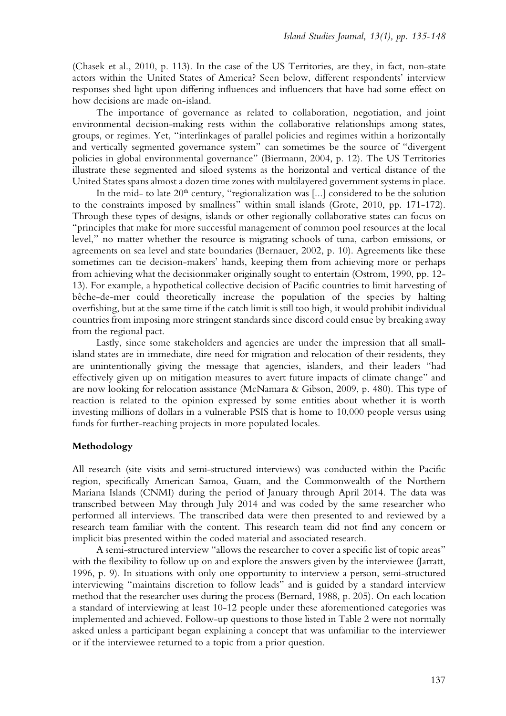(Chasek et al., 2010, p. 113). In the case of the US Territories, are they, in fact, non-state actors within the United States of America? Seen below, different respondents' interview responses shed light upon differing influences and influencers that have had some effect on how decisions are made on-island.

The importance of governance as related to collaboration, negotiation, and joint environmental decision-making rests within the collaborative relationships among states, groups, or regimes. Yet, "interlinkages of parallel policies and regimes within a horizontally and vertically segmented governance system" can sometimes be the source of "divergent policies in global environmental governance" (Biermann, 2004, p. 12). The US Territories illustrate these segmented and siloed systems as the horizontal and vertical distance of the United States spans almost a dozen time zones with multilayered government systems in place.

In the mid- to late  $20<sup>th</sup>$  century, "regionalization was [...] considered to be the solution to the constraints imposed by smallness" within small islands (Grote, 2010, pp. 171-172). Through these types of designs, islands or other regionally collaborative states can focus on "principles that make for more successful management of common pool resources at the local level," no matter whether the resource is migrating schools of tuna, carbon emissions, or agreements on sea level and state boundaries (Bernauer, 2002, p. 10). Agreements like these sometimes can tie decision-makers' hands, keeping them from achieving more or perhaps from achieving what the decisionmaker originally sought to entertain (Ostrom, 1990, pp. 12- 13). For example, a hypothetical collective decision of Pacific countries to limit harvesting of bêche-de-mer could theoretically increase the population of the species by halting overfishing, but at the same time if the catch limit is still too high, it would prohibit individual countries from imposing more stringent standards since discord could ensue by breaking away from the regional pact.

Lastly, since some stakeholders and agencies are under the impression that all smallisland states are in immediate, dire need for migration and relocation of their residents, they are unintentionally giving the message that agencies, islanders, and their leaders "had effectively given up on mitigation measures to avert future impacts of climate change" and are now looking for relocation assistance (McNamara & Gibson, 2009, p. 480). This type of reaction is related to the opinion expressed by some entities about whether it is worth investing millions of dollars in a vulnerable PSIS that is home to 10,000 people versus using funds for further-reaching projects in more populated locales.

#### **Methodology**

All research (site visits and semi-structured interviews) was conducted within the Pacific region, specifically American Samoa, Guam, and the Commonwealth of the Northern Mariana Islands (CNMI) during the period of January through April 2014. The data was transcribed between May through July 2014 and was coded by the same researcher who performed all interviews. The transcribed data were then presented to and reviewed by a research team familiar with the content. This research team did not find any concern or implicit bias presented within the coded material and associated research.

A semi-structured interview "allows the researcher to cover a specific list of topic areas" with the flexibility to follow up on and explore the answers given by the interviewee (Jarratt, 1996, p. 9). In situations with only one opportunity to interview a person, semi-structured interviewing "maintains discretion to follow leads" and is guided by a standard interview method that the researcher uses during the process (Bernard, 1988, p. 205). On each location a standard of interviewing at least 10-12 people under these aforementioned categories was implemented and achieved. Follow-up questions to those listed in Table 2 were not normally asked unless a participant began explaining a concept that was unfamiliar to the interviewer or if the interviewee returned to a topic from a prior question.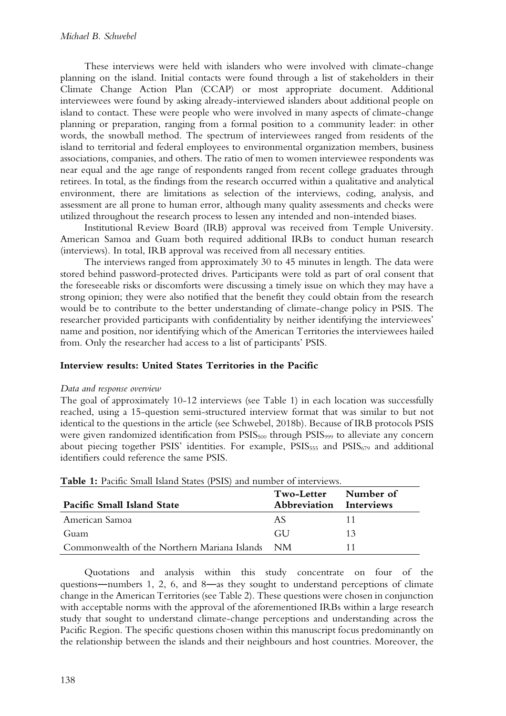These interviews were held with islanders who were involved with climate-change planning on the island. Initial contacts were found through a list of stakeholders in their Climate Change Action Plan (CCAP) or most appropriate document. Additional interviewees were found by asking already-interviewed islanders about additional people on island to contact. These were people who were involved in many aspects of climate-change planning or preparation, ranging from a formal position to a community leader: in other words, the snowball method. The spectrum of interviewees ranged from residents of the island to territorial and federal employees to environmental organization members, business associations, companies, and others. The ratio of men to women interviewee respondents was near equal and the age range of respondents ranged from recent college graduates through retirees. In total, as the findings from the research occurred within a qualitative and analytical environment, there are limitations as selection of the interviews, coding, analysis, and assessment are all prone to human error, although many quality assessments and checks were utilized throughout the research process to lessen any intended and non-intended biases.

Institutional Review Board (IRB) approval was received from Temple University. American Samoa and Guam both required additional IRBs to conduct human research (interviews). In total, IRB approval was received from all necessary entities.

The interviews ranged from approximately 30 to 45 minutes in length. The data were stored behind password-protected drives. Participants were told as part of oral consent that the foreseeable risks or discomforts were discussing a timely issue on which they may have a strong opinion; they were also notified that the benefit they could obtain from the research would be to contribute to the better understanding of climate-change policy in PSIS. The researcher provided participants with confidentiality by neither identifying the interviewees' name and position, nor identifying which of the American Territories the interviewees hailed from. Only the researcher had access to a list of participants' PSIS.

## **Interview results: United States Territories in the Pacific**

#### *Data and response overview*

The goal of approximately 10-12 interviews (see Table 1) in each location was successfully reached, using a 15-question semi-structured interview format that was similar to but not identical to the questions in the article (see Schwebel, 2018b). Because of IRB protocols PSIS were given randomized identification from PSIS<sub>500</sub> through PSIS<sub>999</sub> to alleviate any concern about piecing together PSIS' identities. For example,  $PSIS<sub>555</sub>$  and  $PSIS<sub>679</sub>$  and additional identifiers could reference the same PSIS.

| <b>Pacific Small Island State</b>            | Two-Letter<br><b>Abbreviation</b> | Number of<br><b>Interviews</b> |
|----------------------------------------------|-----------------------------------|--------------------------------|
| American Samoa                               | AS                                | 11                             |
| Guam                                         | GU.                               | 13                             |
| Commonwealth of the Northern Mariana Islands | - NM                              |                                |

**Table 1:** Pacific Small Island States (PSIS) and number of interviews.

Quotations and analysis within this study concentrate on four of the questions―numbers 1, 2, 6, and 8―as they sought to understand perceptions of climate change in the American Territories (see Table 2). These questions were chosen in conjunction with acceptable norms with the approval of the aforementioned IRBs within a large research study that sought to understand climate-change perceptions and understanding across the Pacific Region. The specific questions chosen within this manuscript focus predominantly on the relationship between the islands and their neighbours and host countries. Moreover, the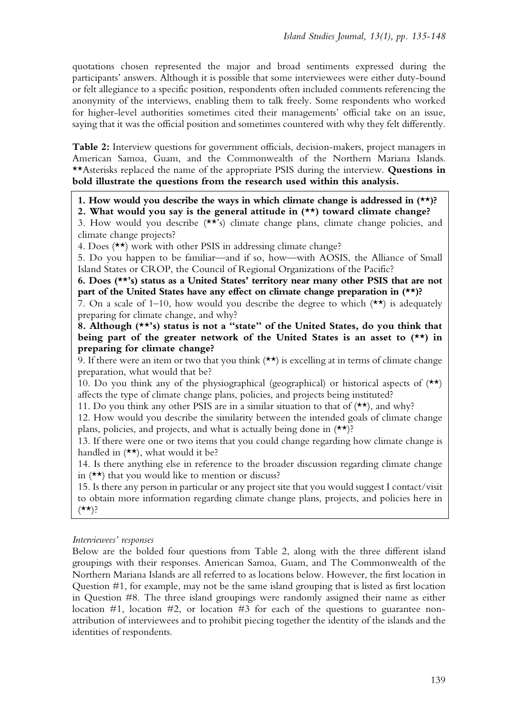quotations chosen represented the major and broad sentiments expressed during the participants' answers. Although it is possible that some interviewees were either duty-bound or felt allegiance to a specific position, respondents often included comments referencing the anonymity of the interviews, enabling them to talk freely. Some respondents who worked for higher-level authorities sometimes cited their managements' official take on an issue, saying that it was the official position and sometimes countered with why they felt differently.

**Table 2:** Interview questions for government officials, decision-makers, project managers in American Samoa, Guam, and the Commonwealth of the Northern Mariana Islands. \*\*Asterisks replaced the name of the appropriate PSIS during the interview. **Questions in bold illustrate the questions from the research used within this analysis.**

**1. How would you describe the ways in which climate change is addressed in (\*\*)?**

**2. What would you say is the general attitude in (\*\*) toward climate change?**

3. How would you describe (\*\*'s) climate change plans, climate change policies, and climate change projects?

4. Does (\*\*) work with other PSIS in addressing climate change?

5. Do you happen to be familiar—and if so, how—with AOSIS, the Alliance of Small Island States or CROP, the Council of Regional Organizations of the Pacific?

**6. Does (\*\*'s) status as a United States' territory near many other PSIS that are not part of the United States have any effect on climate change preparation in (\*\*)?**

7. On a scale of 1–10, how would you describe the degree to which  $(\star \star)$  is adequately preparing for climate change, and why?

**8. Although (\*\*'s) status is not a "state" of the United States, do you think that being part of the greater network of the United States is an asset to (\*\*) in preparing for climate change?**

9. If there were an item or two that you think  $(\star \star)$  is excelling at in terms of climate change preparation, what would that be?

10. Do you think any of the physiographical (geographical) or historical aspects of  $(**)$ affects the type of climate change plans, policies, and projects being instituted?

11. Do you think any other PSIS are in a similar situation to that of  $(*\star)$ , and why?

12. How would you describe the similarity between the intended goals of climate change plans, policies, and projects, and what is actually being done in (\*\*)?

13. If there were one or two items that you could change regarding how climate change is handled in  $(*\star)$ , what would it be?

14. Is there anything else in reference to the broader discussion regarding climate change in  $(\star \star)$  that you would like to mention or discuss?

15. Is there any person in particular or any project site that you would suggest I contact/visit to obtain more information regarding climate change plans, projects, and policies here in  $(*\star);$ 

#### *Interviewees' responses*

Below are the bolded four questions from Table 2, along with the three different island groupings with their responses. American Samoa, Guam, and The Commonwealth of the Northern Mariana Islands are all referred to as locations below. However, the first location in Question #1, for example, may not be the same island grouping that is listed as first location in Question #8. The three island groupings were randomly assigned their name as either location #1, location #2, or location #3 for each of the questions to guarantee nonattribution of interviewees and to prohibit piecing together the identity of the islands and the identities of respondents.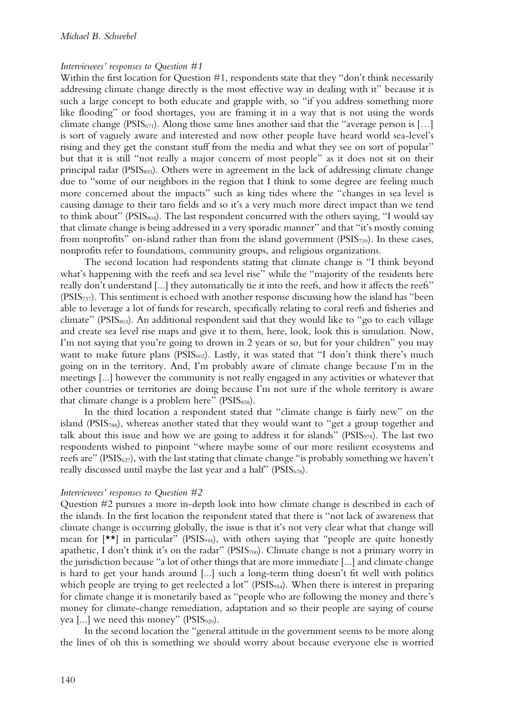#### *Interviewees' responses to Question #1*

Within the first location for Question #1, respondents state that they "don't think necessarily addressing climate change directly is the most effective way in dealing with it" because it is such a large concept to both educate and grapple with, so "if you address something more like flooding" or food shortages, you are framing it in a way that is not using the words climate change (PSIS<sub>671</sub>). Along those same lines another said that the "average person is [...] is sort of vaguely aware and interested and now other people have heard world sea-level's rising and they get the constant stuff from the media and what they see on sort of popular" but that it is still "not really a major concern of most people" as it does not sit on their principal radar (PSIS893). Others were in agreement in the lack of addressing climate change due to "some of our neighbors in the region that I think to some degree are feeling much more concerned about the impacts" such as king tides where the "changes in sea level is causing damage to their taro fields and so it's a very much more direct impact than we tend to think about" ( $PSIS<sub>804</sub>$ ). The last respondent concurred with the others saying, "I would say that climate change is being addressed in a very sporadic manner" and that "it's mostly coming from nonprofits" on-island rather than from the island government  $(PSIS_{739})$ . In these cases, nonprofits refer to foundations, community groups, and religious organizations.

The second location had respondents stating that climate change is "I think beyond what's happening with the reefs and sea level rise" while the "majority of the residents here really don't understand [...] they automatically tie it into the reefs, and how it affects the reefs"  $(PSIS_{737})$ . This sentiment is echoed with another response discussing how the island has "been able to leverage a lot of funds for research, specifically relating to coral reefs and fisheries and climate" (PSIS<sub>803</sub>). An additional respondent said that they would like to "go to each village and create sea level rise maps and give it to them, here, look, look this is simulation. Now, I'm not saying that you're going to drown in 2 years or so, but for your children" you may want to make future plans ( $PSIS<sub>602</sub>$ ). Lastly, it was stated that "I don't think there's much going on in the territory. And, I'm probably aware of climate change because I'm in the meetings [...] however the community is not really engaged in any activities or whatever that other countries or territories are doing because I'm not sure if the whole territory is aware that climate change is a problem here"  $(PSIS<sub>858</sub>)$ .

In the third location a respondent stated that "climate change is fairly new" on the island (PSIS<sub>788</sub>), whereas another stated that they would want to "get a group together and talk about this issue and how we are going to address it for islands" ( $PSIS_{978}$ ). The last two respondents wished to pinpoint "where maybe some of our more resilient ecosystems and reefs are" ( $PSIS<sub>627</sub>$ ), with the last stating that climate change "is probably something we haven't really discussed until maybe the last year and a half" ( $PSIS<sub>678</sub>$ ).

#### *Interviewees' responses to Question #2*

Question #2 pursues a more in-depth look into how climate change is described in each of the islands. In the first location the respondent stated that there is "not lack of awareness that climate change is occurring globally, the issue is that it's not very clear what that change will mean for  $[\star \star]$  in particular" (PSIS<sub>944</sub>), with others saying that "people are quite honestly apathetic, I don't think it's on the radar" ( $PSIS<sub>700</sub>$ ). Climate change is not a primary worry in the jurisdiction because "a lot of other things that are more immediate [...] and climate change is hard to get your hands around [...] such a long-term thing doesn't fit well with politics which people are trying to get reelected a lot" ( $PSIS_{954}$ ). When there is interest in preparing for climate change it is monetarily based as "people who are following the money and there's money for climate-change remediation, adaptation and so their people are saying of course yea [...] we need this money" (PSIS<sub>920</sub>).

In the second location the "general attitude in the government seems to be more along the lines of oh this is something we should worry about because everyone else is worried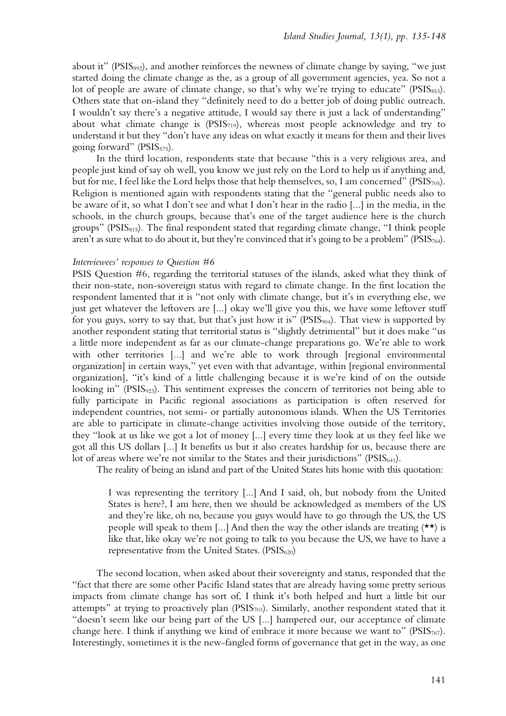about it" (PSIS892), and another reinforces the newness of climate change by saying, "we just started doing the climate change as the, as a group of all government agencies, yea. So not a lot of people are aware of climate change, so that's why we're trying to educate" ( $PSIS_{853}$ ). Others state that on-island they "definitely need to do a better job of doing public outreach. I wouldn't say there's a negative attitude, I would say there is just a lack of understanding" about what climate change is ( $PSIS<sub>719</sub>$ ), whereas most people acknowledge and try to understand it but they "don't have any ideas on what exactly it means for them and their lives going forward" ( $PSIS_{575}$ ).

In the third location, respondents state that because "this is a very religious area, and people just kind of say oh well, you know we just rely on the Lord to help us if anything and, but for me, I feel like the Lord helps those that help themselves, so, I am concerned" ( $PSIS_{705}$ ). Religion is mentioned again with respondents stating that the "general public needs also to be aware of it, so what I don't see and what I don't hear in the radio [...] in the media, in the schools, in the church groups, because that's one of the target audience here is the church groups" ( $PSIS<sub>815</sub>$ ). The final respondent stated that regarding climate change, "I think people aren't as sure what to do about it, but they're convinced that it's going to be a problem" ( $PSIS_{764}$ ).

#### *Interviewees' responses to Question #6*

PSIS Question #6, regarding the territorial statuses of the islands, asked what they think of their non-state, non-sovereign status with regard to climate change. In the first location the respondent lamented that it is "not only with climate change, but it's in everything else, we just get whatever the leftovers are [...] okay we'll give you this, we have some leftover stuff for you guys, sorry to say that, but that's just how it is" (PSIS<sub>904</sub>). That view is supported by another respondent stating that territorial status is "slightly detrimental" but it does make "us a little more independent as far as our climate-change preparations go. We're able to work with other territories [...] and we're able to work through [regional environmental organization] in certain ways," yet even with that advantage, within [regional environmental organization], "it's kind of a little challenging because it is we're kind of on the outside looking in" ( $PSIS_{923}$ ). This sentiment expresses the concern of territories not being able to fully participate in Pacific regional associations as participation is often reserved for independent countries, not semi- or partially autonomous islands. When the US Territories are able to participate in climate-change activities involving those outside of the territory, they "look at us like we got a lot of money [...] every time they look at us they feel like we got all this US dollars [...] It benefits us but it also creates hardship for us, because there are lot of areas where we're not similar to the States and their jurisdictions" ( $PSIS_{641}$ ).

The reality of being an island and part of the United States hits home with this quotation:

I was representing the territory [...] And I said, oh, but nobody from the United States is here?, I am here, then we should be acknowledged as members of the US and they're like, oh no, because you guys would have to go through the US, the US people will speak to them [...] And then the way the other islands are treating  $(\star \star)$  is like that, like okay we're not going to talk to you because the US, we have to have a representative from the United States.  $(PSIS_{620})$ 

The second location, when asked about their sovereignty and status, responded that the "fact that there are some other Pacific Island states that are already having some pretty serious impacts from climate change has sort of, I think it's both helped and hurt a little bit our attempts" at trying to proactively plan (PSIS<sub>703</sub>). Similarly, another respondent stated that it "doesn't seem like our being part of the US [...] hampered our, our acceptance of climate change here. I think if anything we kind of embrace it more because we want to" ( $PSIS_{767}$ ). Interestingly, sometimes it is the new-fangled forms of governance that get in the way, as one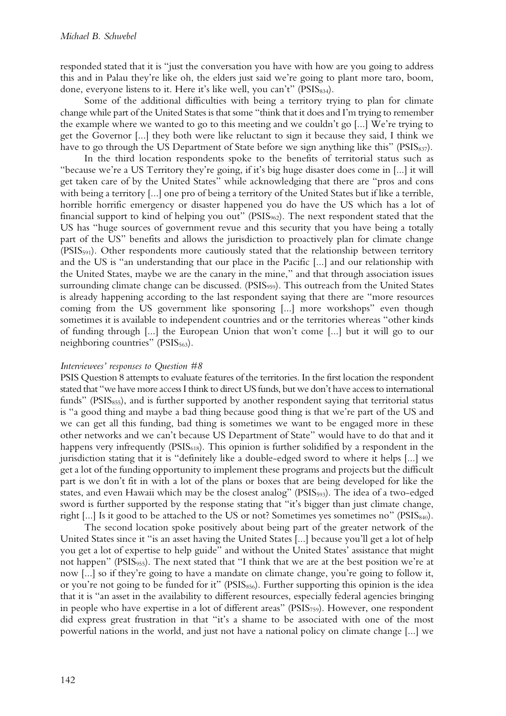responded stated that it is "just the conversation you have with how are you going to address this and in Palau they're like oh, the elders just said we're going to plant more taro, boom, done, everyone listens to it. Here it's like well, you can't" ( $PSIS_{834}$ ).

Some of the additional difficulties with being a territory trying to plan for climate change while part of the United States is that some "think that it does and I'm trying to remember the example where we wanted to go to this meeting and we couldn't go [...] We're trying to get the Governor [...] they both were like reluctant to sign it because they said, I think we have to go through the US Department of State before we sign anything like this" ( $PSIS_{837}$ ).

In the third location respondents spoke to the benefits of territorial status such as "because we're a US Territory they're going, if it's big huge disaster does come in [...] it will get taken care of by the United States" while acknowledging that there are "pros and cons with being a territory [...] one pro of being a territory of the United States but if like a terrible, horrible horrific emergency or disaster happened you do have the US which has a lot of financial support to kind of helping you out" (PSIS<sub>962</sub>). The next respondent stated that the US has "huge sources of government revue and this security that you have being a totally part of the US" benefits and allows the jurisdiction to proactively plan for climate change  $(PSIS_{591})$ . Other respondents more cautiously stated that the relationship between territory and the US is "an understanding that our place in the Pacific [...] and our relationship with the United States, maybe we are the canary in the mine," and that through association issues surrounding climate change can be discussed. ( $PSIS_{959}$ ). This outreach from the United States is already happening according to the last respondent saying that there are "more resources coming from the US government like sponsoring [...] more workshops" even though sometimes it is available to independent countries and or the territories whereas "other kinds of funding through [...] the European Union that won't come [...] but it will go to our neighboring countries" (PSIS<sub>563</sub>).

#### *Interviewees' responses to Question #8*

PSIS Question 8 attempts to evaluate features of the territories. In the first location the respondent stated that "we have more access I think to direct US funds, but we don't have access to international funds" (PSIS<sub>855</sub>), and is further supported by another respondent saying that territorial status is "a good thing and maybe a bad thing because good thing is that we're part of the US and we can get all this funding, bad thing is sometimes we want to be engaged more in these other networks and we can't because US Department of State" would have to do that and it happens very infrequently (PSIS<sub>618</sub>). This opinion is further solidified by a respondent in the jurisdiction stating that it is "definitely like a double-edged sword to where it helps [...] we get a lot of the funding opportunity to implement these programs and projects but the difficult part is we don't fit in with a lot of the plans or boxes that are being developed for like the states, and even Hawaii which may be the closest analog" (PSIS<sub>593</sub>). The idea of a two-edged sword is further supported by the response stating that "it's bigger than just climate change, right [...] Is it good to be attached to the US or not? Sometimes yes sometimes no" ( $PSIS<sub>840</sub>$ ).

The second location spoke positively about being part of the greater network of the United States since it "is an asset having the United States [...] because you'll get a lot of help you get a lot of expertise to help guide" and without the United States' assistance that might not happen" (PSIS<sub>955</sub>). The next stated that "I think that we are at the best position we're at now [...] so if they're going to have a mandate on climate change, you're going to follow it, or you're not going to be funded for it" ( $PSIS<sub>856</sub>$ ). Further supporting this opinion is the idea that it is "an asset in the availability to different resources, especially federal agencies bringing in people who have expertise in a lot of different areas" ( $PSIS<sub>759</sub>$ ). However, one respondent did express great frustration in that "it's a shame to be associated with one of the most powerful nations in the world, and just not have a national policy on climate change [...] we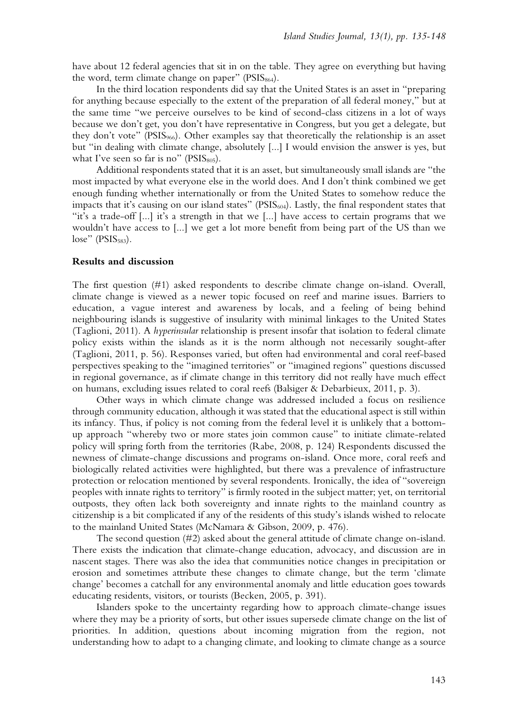have about 12 federal agencies that sit in on the table. They agree on everything but having the word, term climate change on paper" ( $PSIS<sub>864</sub>$ ).

In the third location respondents did say that the United States is an asset in "preparing for anything because especially to the extent of the preparation of all federal money," but at the same time "we perceive ourselves to be kind of second-class citizens in a lot of ways because we don't get, you don't have representative in Congress, but you get a delegate, but they don't vote" (PSIS966). Other examples say that theoretically the relationship is an asset but "in dealing with climate change, absolutely [...] I would envision the answer is yes, but what I've seen so far is no" ( $PSIS<sub>805</sub>$ ).

Additional respondents stated that it is an asset, but simultaneously small islands are "the most impacted by what everyone else in the world does. And I don't think combined we get enough funding whether internationally or from the United States to somehow reduce the impacts that it's causing on our island states" (PSIS<sub>604</sub>). Lastly, the final respondent states that "it's a trade-off [...] it's a strength in that we [...] have access to certain programs that we wouldn't have access to [...] we get a lot more benefit from being part of the US than we  $lose$ " (PSIS $_{583}$ ).

#### **Results and discussion**

The first question (#1) asked respondents to describe climate change on-island. Overall, climate change is viewed as a newer topic focused on reef and marine issues. Barriers to education, a vague interest and awareness by locals, and a feeling of being behind neighbouring islands is suggestive of insularity with minimal linkages to the United States (Taglioni, 2011). A *hyperinsular* relationship is present insofar that isolation to federal climate policy exists within the islands as it is the norm although not necessarily sought-after (Taglioni, 2011, p. 56). Responses varied, but often had environmental and coral reef-based perspectives speaking to the "imagined territories" or "imagined regions" questions discussed in regional governance, as if climate change in this territory did not really have much effect on humans, excluding issues related to coral reefs (Balsiger & Debarbieux, 2011, p. 3).

Other ways in which climate change was addressed included a focus on resilience through community education, although it was stated that the educational aspect is still within its infancy. Thus, if policy is not coming from the federal level it is unlikely that a bottomup approach "whereby two or more states join common cause" to initiate climate-related policy will spring forth from the territories (Rabe, 2008, p. 124) Respondents discussed the newness of climate-change discussions and programs on-island. Once more, coral reefs and biologically related activities were highlighted, but there was a prevalence of infrastructure protection or relocation mentioned by several respondents. Ironically, the idea of "sovereign peoples with innate rights to territory" is firmly rooted in the subject matter; yet, on territorial outposts, they often lack both sovereignty and innate rights to the mainland country as citizenship is a bit complicated if any of the residents of this study's islands wished to relocate to the mainland United States (McNamara & Gibson, 2009, p. 476).

The second question (#2) asked about the general attitude of climate change on-island. There exists the indication that climate-change education, advocacy, and discussion are in nascent stages. There was also the idea that communities notice changes in precipitation or erosion and sometimes attribute these changes to climate change, but the term 'climate change' becomes a catchall for any environmental anomaly and little education goes towards educating residents, visitors, or tourists (Becken, 2005, p. 391).

Islanders spoke to the uncertainty regarding how to approach climate-change issues where they may be a priority of sorts, but other issues supersede climate change on the list of priorities. In addition, questions about incoming migration from the region, not understanding how to adapt to a changing climate, and looking to climate change as a source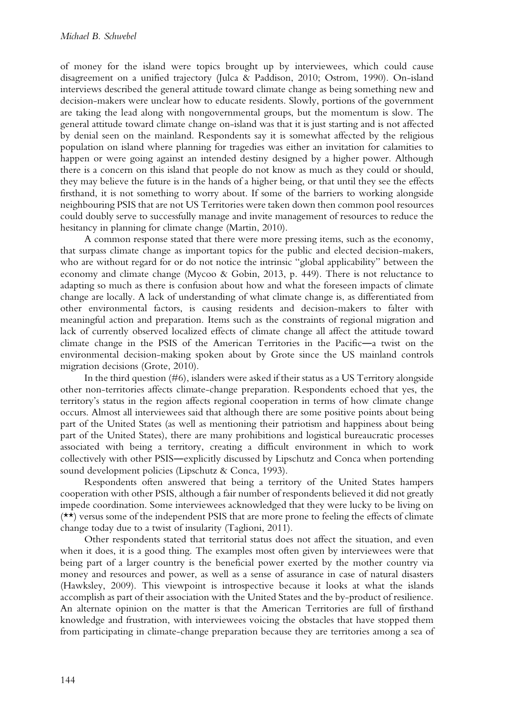of money for the island were topics brought up by interviewees, which could cause disagreement on a unified trajectory (Julca & Paddison, 2010; Ostrom, 1990). On-island interviews described the general attitude toward climate change as being something new and decision-makers were unclear how to educate residents. Slowly, portions of the government are taking the lead along with nongovernmental groups, but the momentum is slow. The general attitude toward climate change on-island was that it is just starting and is not affected by denial seen on the mainland. Respondents say it is somewhat affected by the religious population on island where planning for tragedies was either an invitation for calamities to happen or were going against an intended destiny designed by a higher power. Although there is a concern on this island that people do not know as much as they could or should, they may believe the future is in the hands of a higher being, or that until they see the effects firsthand, it is not something to worry about. If some of the barriers to working alongside neighbouring PSIS that are not US Territories were taken down then common pool resources could doubly serve to successfully manage and invite management of resources to reduce the hesitancy in planning for climate change (Martin, 2010).

A common response stated that there were more pressing items, such as the economy, that surpass climate change as important topics for the public and elected decision-makers, who are without regard for or do not notice the intrinsic "global applicability" between the economy and climate change (Mycoo & Gobin, 2013, p. 449). There is not reluctance to adapting so much as there is confusion about how and what the foreseen impacts of climate change are locally. A lack of understanding of what climate change is, as differentiated from other environmental factors, is causing residents and decision-makers to falter with meaningful action and preparation. Items such as the constraints of regional migration and lack of currently observed localized effects of climate change all affect the attitude toward climate change in the PSIS of the American Territories in the Pacific―a twist on the environmental decision-making spoken about by Grote since the US mainland controls migration decisions (Grote, 2010).

In the third question (#6), islanders were asked if their status as a US Territory alongside other non-territories affects climate-change preparation. Respondents echoed that yes, the territory's status in the region affects regional cooperation in terms of how climate change occurs. Almost all interviewees said that although there are some positive points about being part of the United States (as well as mentioning their patriotism and happiness about being part of the United States), there are many prohibitions and logistical bureaucratic processes associated with being a territory, creating a difficult environment in which to work collectively with other PSIS―explicitly discussed by Lipschutz and Conca when portending sound development policies (Lipschutz & Conca, 1993).

Respondents often answered that being a territory of the United States hampers cooperation with other PSIS, although a fair number of respondents believed it did not greatly impede coordination. Some interviewees acknowledged that they were lucky to be living on (\*\*) versus some of the independent PSIS that are more prone to feeling the effects of climate change today due to a twist of insularity (Taglioni, 2011).

Other respondents stated that territorial status does not affect the situation, and even when it does, it is a good thing. The examples most often given by interviewees were that being part of a larger country is the beneficial power exerted by the mother country via money and resources and power, as well as a sense of assurance in case of natural disasters (Hawksley, 2009). This viewpoint is introspective because it looks at what the islands accomplish as part of their association with the United States and the by-product of resilience. An alternate opinion on the matter is that the American Territories are full of firsthand knowledge and frustration, with interviewees voicing the obstacles that have stopped them from participating in climate-change preparation because they are territories among a sea of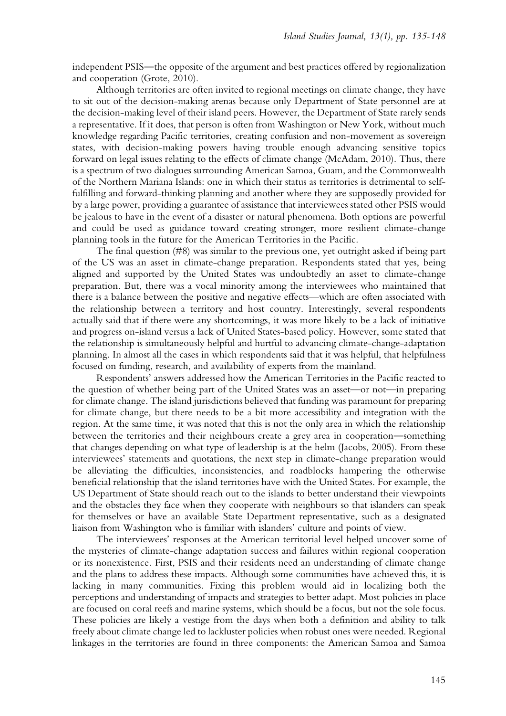independent PSIS―the opposite of the argument and best practices offered by regionalization and cooperation (Grote, 2010).

Although territories are often invited to regional meetings on climate change, they have to sit out of the decision-making arenas because only Department of State personnel are at the decision-making level of their island peers. However, the Department of State rarely sends a representative. If it does, that person is often from Washington or New York, without much knowledge regarding Pacific territories, creating confusion and non-movement as sovereign states, with decision-making powers having trouble enough advancing sensitive topics forward on legal issues relating to the effects of climate change (McAdam, 2010). Thus, there is a spectrum of two dialogues surrounding American Samoa, Guam, and the Commonwealth of the Northern Mariana Islands: one in which their status as territories is detrimental to selffulfilling and forward-thinking planning and another where they are supposedly provided for by a large power, providing a guarantee of assistance that interviewees stated other PSIS would be jealous to have in the event of a disaster or natural phenomena. Both options are powerful and could be used as guidance toward creating stronger, more resilient climate-change planning tools in the future for the American Territories in the Pacific.

The final question (#8) was similar to the previous one, yet outright asked if being part of the US was an asset in climate-change preparation. Respondents stated that yes, being aligned and supported by the United States was undoubtedly an asset to climate-change preparation. But, there was a vocal minority among the interviewees who maintained that there is a balance between the positive and negative effects—which are often associated with the relationship between a territory and host country. Interestingly, several respondents actually said that if there were any shortcomings, it was more likely to be a lack of initiative and progress on-island versus a lack of United States-based policy. However, some stated that the relationship is simultaneously helpful and hurtful to advancing climate-change-adaptation planning. In almost all the cases in which respondents said that it was helpful, that helpfulness focused on funding, research, and availability of experts from the mainland.

Respondents' answers addressed how the American Territories in the Pacific reacted to the question of whether being part of the United States was an asset—or not—in preparing for climate change. The island jurisdictions believed that funding was paramount for preparing for climate change, but there needs to be a bit more accessibility and integration with the region. At the same time, it was noted that this is not the only area in which the relationship between the territories and their neighbours create a grey area in cooperation―something that changes depending on what type of leadership is at the helm (Jacobs, 2005). From these interviewees' statements and quotations, the next step in climate-change preparation would be alleviating the difficulties, inconsistencies, and roadblocks hampering the otherwise beneficial relationship that the island territories have with the United States. For example, the US Department of State should reach out to the islands to better understand their viewpoints and the obstacles they face when they cooperate with neighbours so that islanders can speak for themselves or have an available State Department representative, such as a designated liaison from Washington who is familiar with islanders' culture and points of view.

The interviewees' responses at the American territorial level helped uncover some of the mysteries of climate-change adaptation success and failures within regional cooperation or its nonexistence. First, PSIS and their residents need an understanding of climate change and the plans to address these impacts. Although some communities have achieved this, it is lacking in many communities. Fixing this problem would aid in localizing both the perceptions and understanding of impacts and strategies to better adapt. Most policies in place are focused on coral reefs and marine systems, which should be a focus, but not the sole focus. These policies are likely a vestige from the days when both a definition and ability to talk freely about climate change led to lackluster policies when robust ones were needed. Regional linkages in the territories are found in three components: the American Samoa and Samoa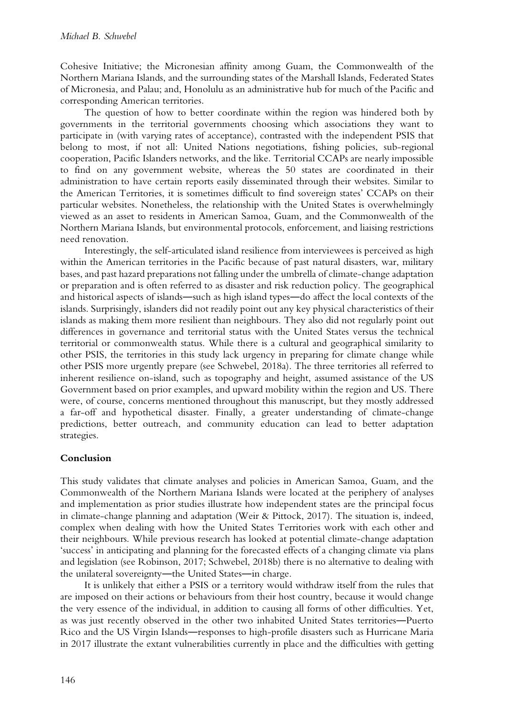Cohesive Initiative; the Micronesian affinity among Guam, the Commonwealth of the Northern Mariana Islands, and the surrounding states of the Marshall Islands, Federated States of Micronesia, and Palau; and, Honolulu as an administrative hub for much of the Pacific and corresponding American territories.

The question of how to better coordinate within the region was hindered both by governments in the territorial governments choosing which associations they want to participate in (with varying rates of acceptance), contrasted with the independent PSIS that belong to most, if not all: United Nations negotiations, fishing policies, sub-regional cooperation, Pacific Islanders networks, and the like. Territorial CCAPs are nearly impossible to find on any government website, whereas the 50 states are coordinated in their administration to have certain reports easily disseminated through their websites. Similar to the American Territories, it is sometimes difficult to find sovereign states' CCAPs on their particular websites. Nonetheless, the relationship with the United States is overwhelmingly viewed as an asset to residents in American Samoa, Guam, and the Commonwealth of the Northern Mariana Islands, but environmental protocols, enforcement, and liaising restrictions need renovation.

Interestingly, the self-articulated island resilience from interviewees is perceived as high within the American territories in the Pacific because of past natural disasters, war, military bases, and past hazard preparations not falling under the umbrella of climate-change adaptation or preparation and is often referred to as disaster and risk reduction policy. The geographical and historical aspects of islands―such as high island types―do affect the local contexts of the islands. Surprisingly, islanders did not readily point out any key physical characteristics of their islands as making them more resilient than neighbours. They also did not regularly point out differences in governance and territorial status with the United States versus the technical territorial or commonwealth status. While there is a cultural and geographical similarity to other PSIS, the territories in this study lack urgency in preparing for climate change while other PSIS more urgently prepare (see Schwebel, 2018a). The three territories all referred to inherent resilience on-island, such as topography and height, assumed assistance of the US Government based on prior examples, and upward mobility within the region and US. There were, of course, concerns mentioned throughout this manuscript, but they mostly addressed a far-off and hypothetical disaster. Finally, a greater understanding of climate-change predictions, better outreach, and community education can lead to better adaptation strategies.

# **Conclusion**

This study validates that climate analyses and policies in American Samoa, Guam, and the Commonwealth of the Northern Mariana Islands were located at the periphery of analyses and implementation as prior studies illustrate how independent states are the principal focus in climate-change planning and adaptation (Weir & Pittock, 2017). The situation is, indeed, complex when dealing with how the United States Territories work with each other and their neighbours. While previous research has looked at potential climate-change adaptation 'success' in anticipating and planning for the forecasted effects of a changing climate via plans and legislation (see Robinson, 2017; Schwebel, 2018b) there is no alternative to dealing with the unilateral sovereignty—the United States—in charge.

It is unlikely that either a PSIS or a territory would withdraw itself from the rules that are imposed on their actions or behaviours from their host country, because it would change the very essence of the individual, in addition to causing all forms of other difficulties. Yet, as was just recently observed in the other two inhabited United States territories―Puerto Rico and the US Virgin Islands―responses to high-profile disasters such as Hurricane Maria in 2017 illustrate the extant vulnerabilities currently in place and the difficulties with getting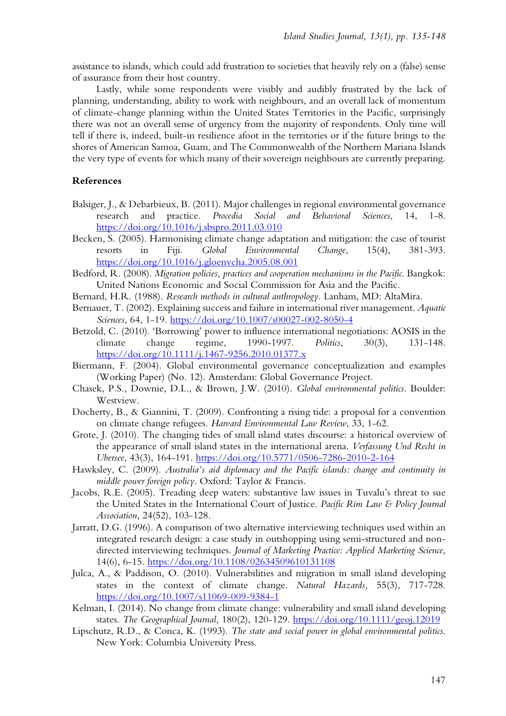assistance to islands, which could add frustration to societies that heavily rely on a (false) sense of assurance from their host country.

Lastly, while some respondents were visibly and audibly frustrated by the lack of planning, understanding, ability to work with neighbours, and an overall lack of momentum of climate-change planning within the United States Territories in the Pacific, surprisingly there was not an overall sense of urgency from the majority of respondents. Only time will tell if there is, indeed, built-in resilience afoot in the territories or if the future brings to the shores of American Samoa, Guam, and The Commonwealth of the Northern Mariana Islands the very type of events for which many of their sovereign neighbours are currently preparing.

## **References**

- Balsiger, J., & Debarbieux, B. (2011). Major challenges in regional environmental governance research and practice. *Procedia Social and Behavioral Sciences*, 14, 1-8. <https://doi.org/10.1016/j.sbspro.2011.03.010>
- Becken, S. (2005). Harmonising climate change adaptation and mitigation: the case of tourist resorts in Fiji. *Global Environmental Change*, 15(4), 381-393. <https://doi.org/10.1016/j.gloenvcha.2005.08.001>
- Bedford, R. (2008). *Migration policies, practices and cooperation mechanisms in the Pacific*. Bangkok: United Nations Economic and Social Commission for Asia and the Pacific.
- Bernard, H.R. (1988). *Research methods in cultural anthropology*. Lanham, MD: AltaMira.
- Bernauer, T. (2002). Explaining success and failure in international river management. *Aquatic Sciences*, 64, 1-19. <https://doi.org/10.1007/s00027-002-8050-4>
- Betzold, C. (2010). 'Borrowing' power to influence international negotiations: AOSIS in the climate change regime, 1990-1997. *Politics*, 30(3), 131-148. <https://doi.org/10.1111/j.1467-9256.2010.01377.x>

Biermann, F. (2004). Global environmental governance conceptualization and examples (Working Paper) (No. 12). Amsterdam: Global Governance Project.

- Chasek, P.S., Downie, D.L., & Brown, J.W. (2010). *Global environmental politics*. Boulder: Westview.
- Docherty, B., & Giannini, T. (2009). Confronting a rising tide: a proposal for a convention on climate change refugees. *Harvard Environmental Law Review*, 33, 1-62.
- Grote, J. (2010). The changing tides of small island states discourse: a historical overview of the appearance of small island states in the international arena. *Verfassung Und Recht in Ubersee*, 43(3), 164-191. <https://doi.org/10.5771/0506-7286-2010-2-164>
- Hawksley, C. (2009). *Australia's aid diplomacy and the Pacific islands: change and continuity in middle power foreign policy*. Oxford: Taylor & Francis.
- Jacobs, R.E. (2005). Treading deep waters: substantive law issues in Tuvalu's threat to sue the United States in the International Court of Justice. *Pacific Rim Law & Policy Journal Association*, 24(52), 103-128.
- Jarratt, D.G. (1996). A comparison of two alternative interviewing techniques used within an integrated research design: a case study in outshopping using semi-structured and nondirected interviewing techniques. *Journal of Marketing Practice: Applied Marketing Science*, 14(6), 6-15. <https://doi.org/10.1108/02634509610131108>
- Julca, A., & Paddison, O. (2010). Vulnerabilities and migration in small island developing states in the context of climate change. *Natural Hazards,* 55(3), 717-728. <https://doi.org/10.1007/s11069-009-9384-1>
- Kelman, I. (2014). No change from climate change: vulnerability and small island developing states. *The Geographical Journal,* 180(2), 120-129. <https://doi.org/10.1111/geoj.12019>
- Lipschutz, R.D., & Conca, K. (1993). *The state and social power in global environmental politics*. New York: Columbia University Press.